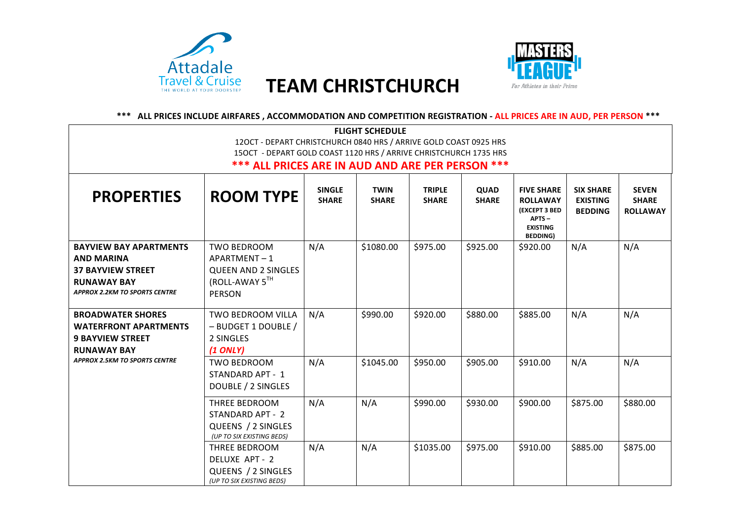

## **Travel & Cruise TEAM CHRISTCHURCH**



\*\*\* ALL PRICES INCLUDE AIRFARES, ACCOMMODATION AND COMPETITION REGISTRATION - ALL PRICES ARE IN AUD, PER PERSON \*\*\*

| <b>FLIGHT SCHEDULE</b>                                                                                                                       |                                                                                                    |                               |                             |                               |                             |                                                                                                             |                                                       |                                                 |
|----------------------------------------------------------------------------------------------------------------------------------------------|----------------------------------------------------------------------------------------------------|-------------------------------|-----------------------------|-------------------------------|-----------------------------|-------------------------------------------------------------------------------------------------------------|-------------------------------------------------------|-------------------------------------------------|
| 120CT - DEPART CHRISTCHURCH 0840 HRS / ARRIVE GOLD COAST 0925 HRS                                                                            |                                                                                                    |                               |                             |                               |                             |                                                                                                             |                                                       |                                                 |
| 150CT - DEPART GOLD COAST 1120 HRS / ARRIVE CHRISTCHURCH 1735 HRS                                                                            |                                                                                                    |                               |                             |                               |                             |                                                                                                             |                                                       |                                                 |
|                                                                                                                                              | *** ALL PRICES ARE IN AUD AND ARE PER PERSON ***                                                   |                               |                             |                               |                             |                                                                                                             |                                                       |                                                 |
| <b>PROPERTIES</b>                                                                                                                            | <b>ROOM TYPE</b>                                                                                   | <b>SINGLE</b><br><b>SHARE</b> | <b>TWIN</b><br><b>SHARE</b> | <b>TRIPLE</b><br><b>SHARE</b> | <b>QUAD</b><br><b>SHARE</b> | <b>FIVE SHARE</b><br><b>ROLLAWAY</b><br><b>(EXCEPT 3 BED</b><br>APTS-<br><b>EXISTING</b><br><b>BEDDING)</b> | <b>SIX SHARE</b><br><b>EXISTING</b><br><b>BEDDING</b> | <b>SEVEN</b><br><b>SHARE</b><br><b>ROLLAWAY</b> |
| <b>BAYVIEW BAY APARTMENTS</b><br><b>AND MARINA</b><br><b>37 BAYVIEW STREET</b><br><b>RUNAWAY BAY</b><br><b>APPROX 2.2KM TO SPORTS CENTRE</b> | <b>TWO BEDROOM</b><br>APARTMENT-1<br><b>QUEEN AND 2 SINGLES</b><br>(ROLL-AWAY 5TH<br><b>PERSON</b> | N/A                           | \$1080.00                   | \$975.00                      | \$925.00                    | \$920.00                                                                                                    | N/A                                                   | N/A                                             |
| <b>BROADWATER SHORES</b><br><b>WATERFRONT APARTMENTS</b><br><b>9 BAYVIEW STREET</b><br><b>RUNAWAY BAY</b>                                    | TWO BEDROOM VILLA<br>- BUDGET 1 DOUBLE /<br>2 SINGLES<br>$(1$ ONLY)                                | N/A                           | \$990.00                    | \$920.00                      | \$880.00                    | \$885.00                                                                                                    | N/A                                                   | N/A                                             |
| <b>APPROX 2.5KM TO SPORTS CENTRE</b>                                                                                                         | <b>TWO BEDROOM</b><br>STANDARD APT - 1<br>DOUBLE / 2 SINGLES                                       | N/A                           | \$1045.00                   | \$950.00                      | \$905.00                    | \$910.00                                                                                                    | N/A                                                   | N/A                                             |
|                                                                                                                                              | THREE BEDROOM<br>STANDARD APT - 2<br>QUEENS / 2 SINGLES<br>(UP TO SIX EXISTING BEDS)               | N/A                           | N/A                         | \$990.00                      | \$930.00                    | \$900.00                                                                                                    | \$875.00                                              | \$880.00                                        |
|                                                                                                                                              | THREE BEDROOM<br>DELUXE APT - 2<br>QUEENS / 2 SINGLES<br>(UP TO SIX EXISTING BEDS)                 | N/A                           | N/A                         | \$1035.00                     | \$975.00                    | \$910.00                                                                                                    | \$885.00                                              | \$875.00                                        |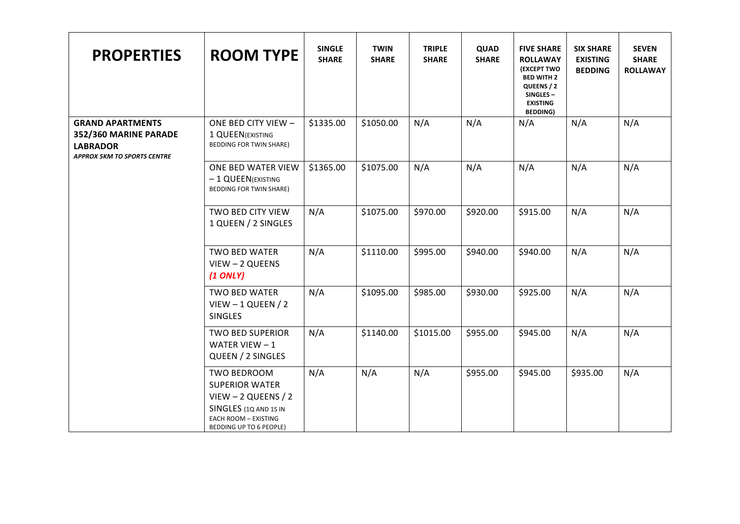| <b>PROPERTIES</b>                                                                                         | <b>ROOM TYPE</b>                                                                                                                                  | <b>SINGLE</b><br><b>SHARE</b> | <b>TWIN</b><br><b>SHARE</b> | <b>TRIPLE</b><br><b>SHARE</b> | QUAD<br><b>SHARE</b> | <b>FIVE SHARE</b><br><b>ROLLAWAY</b><br><b>(EXCEPT TWO</b><br><b>BED WITH 2</b><br>QUEENS / 2<br>SINGLES-<br><b>EXISTING</b><br><b>BEDDING)</b> | <b>SIX SHARE</b><br><b>EXISTING</b><br><b>BEDDING</b> | <b>SEVEN</b><br><b>SHARE</b><br><b>ROLLAWAY</b> |
|-----------------------------------------------------------------------------------------------------------|---------------------------------------------------------------------------------------------------------------------------------------------------|-------------------------------|-----------------------------|-------------------------------|----------------------|-------------------------------------------------------------------------------------------------------------------------------------------------|-------------------------------------------------------|-------------------------------------------------|
| <b>GRAND APARTMENTS</b><br>352/360 MARINE PARADE<br><b>LABRADOR</b><br><b>APPROX 5KM TO SPORTS CENTRE</b> | ONE BED CITY VIEW -<br>1 QUEEN (EXISTING<br><b>BEDDING FOR TWIN SHARE)</b>                                                                        | \$1335.00                     | \$1050.00                   | N/A                           | N/A                  | N/A                                                                                                                                             | N/A                                                   | N/A                                             |
|                                                                                                           | ONE BED WATER VIEW<br>- 1 QUEEN(EXISTING<br>BEDDING FOR TWIN SHARE)                                                                               | \$1365.00                     | \$1075.00                   | N/A                           | N/A                  | N/A                                                                                                                                             | N/A                                                   | N/A                                             |
|                                                                                                           | TWO BED CITY VIEW<br>1 QUEEN / 2 SINGLES                                                                                                          | N/A                           | \$1075.00                   | \$970.00                      | \$920.00             | \$915.00                                                                                                                                        | N/A                                                   | N/A                                             |
|                                                                                                           | <b>TWO BED WATER</b><br>VIEW - 2 QUEENS<br>$(1$ ONLY)                                                                                             | N/A                           | \$1110.00                   | \$995.00                      | \$940.00             | \$940.00                                                                                                                                        | N/A                                                   | N/A                                             |
|                                                                                                           | <b>TWO BED WATER</b><br>$V$ IEW - 1 QUEEN / 2<br><b>SINGLES</b>                                                                                   | N/A                           | \$1095.00                   | \$985.00                      | \$930.00             | \$925.00                                                                                                                                        | N/A                                                   | N/A                                             |
|                                                                                                           | <b>TWO BED SUPERIOR</b><br>WATER VIEW $-1$<br>QUEEN / 2 SINGLES                                                                                   | N/A                           | \$1140.00                   | \$1015.00                     | \$955.00             | \$945.00                                                                                                                                        | N/A                                                   | N/A                                             |
|                                                                                                           | TWO BEDROOM<br><b>SUPERIOR WATER</b><br>$V$ IEW - 2 QUEENS / 2<br>SINGLES (1Q AND 1S IN<br><b>EACH ROOM - EXISTING</b><br>BEDDING UP TO 6 PEOPLE) | N/A                           | N/A                         | N/A                           | \$955.00             | \$945.00                                                                                                                                        | \$935.00                                              | N/A                                             |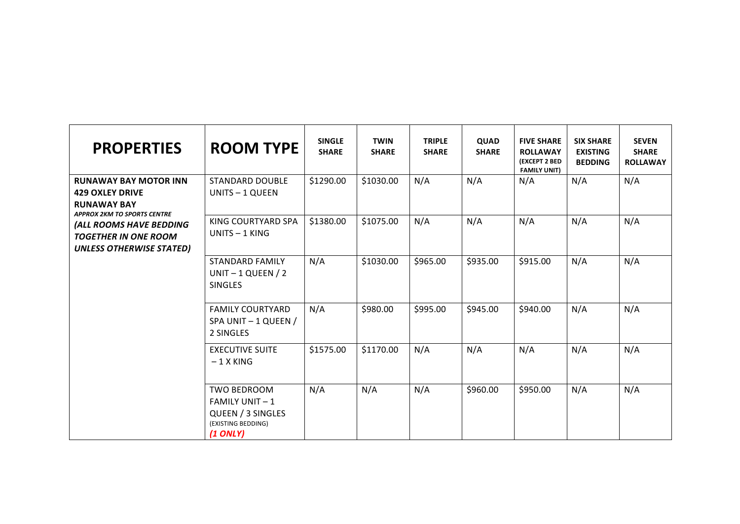| <b>PROPERTIES</b>                                                                                                  | <b>ROOM TYPE</b>                                                                                    | <b>SINGLE</b><br><b>SHARE</b> | <b>TWIN</b><br><b>SHARE</b> | <b>TRIPLE</b><br><b>SHARE</b> | <b>QUAD</b><br><b>SHARE</b> | <b>FIVE SHARE</b><br><b>ROLLAWAY</b><br>(EXCEPT 2 BED<br><b>FAMILY UNIT)</b> | <b>SIX SHARE</b><br><b>EXISTING</b><br><b>BEDDING</b> | <b>SEVEN</b><br><b>SHARE</b><br><b>ROLLAWAY</b> |
|--------------------------------------------------------------------------------------------------------------------|-----------------------------------------------------------------------------------------------------|-------------------------------|-----------------------------|-------------------------------|-----------------------------|------------------------------------------------------------------------------|-------------------------------------------------------|-------------------------------------------------|
| <b>RUNAWAY BAY MOTOR INN</b><br><b>429 OXLEY DRIVE</b><br><b>RUNAWAY BAY</b><br><b>APPROX 2KM TO SPORTS CENTRE</b> | <b>STANDARD DOUBLE</b><br>UNITS - 1 QUEEN                                                           | \$1290.00                     | \$1030.00                   | N/A                           | N/A                         | N/A                                                                          | N/A                                                   | N/A                                             |
| (ALL ROOMS HAVE BEDDING<br><b>TOGETHER IN ONE ROOM</b><br><b>UNLESS OTHERWISE STATED)</b>                          | KING COURTYARD SPA<br>UNITS - 1 KING                                                                | \$1380.00                     | \$1075.00                   | N/A                           | N/A                         | N/A                                                                          | N/A                                                   | N/A                                             |
|                                                                                                                    | <b>STANDARD FAMILY</b><br>UNIT - 1 QUEEN / 2<br><b>SINGLES</b>                                      | N/A                           | \$1030.00                   | \$965.00                      | \$935.00                    | \$915.00                                                                     | N/A                                                   | N/A                                             |
|                                                                                                                    | <b>FAMILY COURTYARD</b><br>SPA UNIT - 1 QUEEN /<br>2 SINGLES                                        | N/A                           | \$980.00                    | \$995.00                      | \$945.00                    | \$940.00                                                                     | N/A                                                   | N/A                                             |
|                                                                                                                    | <b>EXECUTIVE SUITE</b><br>$-1$ X KING                                                               | \$1575.00                     | \$1170.00                   | N/A                           | N/A                         | N/A                                                                          | N/A                                                   | N/A                                             |
|                                                                                                                    | <b>TWO BEDROOM</b><br><b>FAMILY UNIT-1</b><br>QUEEN / 3 SINGLES<br>(EXISTING BEDDING)<br>$(1$ ONLY) | N/A                           | N/A                         | N/A                           | \$960.00                    | \$950.00                                                                     | N/A                                                   | N/A                                             |